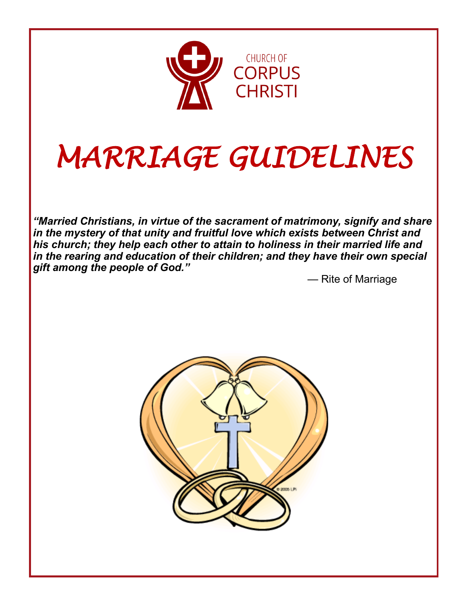

# *MARRIAGE GUIDELINES*

*"Married Christians, in virtue of the sacrament of matrimony, signify and share in the mystery of that unity and fruitful love which exists between Christ and his church; they help each other to attain to holiness in their married life and in the rearing and education of their children; and they have their own special gift among the people of God."*

— Rite of Marriage

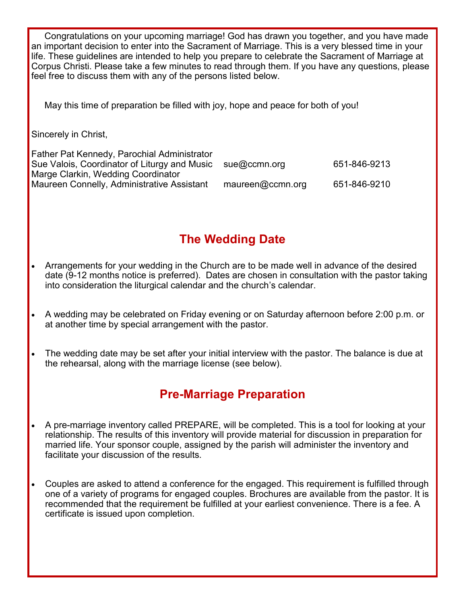Congratulations on your upcoming marriage! God has drawn you together, and you have made an important decision to enter into the Sacrament of Marriage. This is a very blessed time in your life. These guidelines are intended to help you prepare to celebrate the Sacrament of Marriage at Corpus Christi. Please take a few minutes to read through them. If you have any questions, please feel free to discuss them with any of the persons listed below.

May this time of preparation be filled with joy, hope and peace for both of you!

Sincerely in Christ,

| Father Pat Kennedy, Parochial Administrator  |                  |              |
|----------------------------------------------|------------------|--------------|
| Sue Valois, Coordinator of Liturgy and Music | sue@ccmn.org     | 651-846-9213 |
| Marge Clarkin, Wedding Coordinator           |                  |              |
| Maureen Connelly, Administrative Assistant   | maureen@ccmn.org | 651-846-9210 |

# **The Wedding Date**

- Arrangements for your wedding in the Church are to be made well in advance of the desired date (9-12 months notice is preferred). Dates are chosen in consultation with the pastor taking into consideration the liturgical calendar and the church's calendar.
- A wedding may be celebrated on Friday evening or on Saturday afternoon before 2:00 p.m. or at another time by special arrangement with the pastor.
- The wedding date may be set after your initial interview with the pastor. The balance is due at the rehearsal, along with the marriage license (see below).

# **Pre-Marriage Preparation**

- A pre-marriage inventory called PREPARE, will be completed. This is a tool for looking at your relationship. The results of this inventory will provide material for discussion in preparation for married life. Your sponsor couple, assigned by the parish will administer the inventory and facilitate your discussion of the results.
- Couples are asked to attend a conference for the engaged. This requirement is fulfilled through one of a variety of programs for engaged couples. Brochures are available from the pastor. It is recommended that the requirement be fulfilled at your earliest convenience. There is a fee. A certificate is issued upon completion.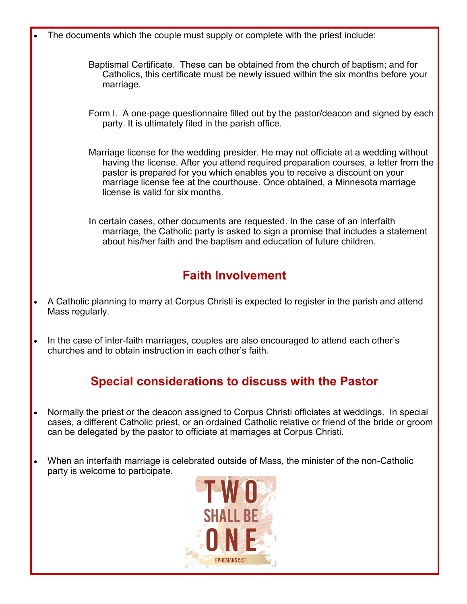• The documents which the couple must supply or complete with the priest include:

- Baptismal Certificate. These can be obtained from the church of baptism; and for Catholics, this certificate must be newly issued within the six months before your marriage.
- Form I. A one-page questionnaire filled out by the pastor/deacon and signed by each party. It is ultimately filed in the parish office.
- Marriage license for the wedding presider. He may not officiate at a wedding without having the license. After you attend required preparation courses, a letter from the pastor is prepared for you which enables you to receive a discount on your marriage license fee at the courthouse. Once obtained, a Minnesota marriage license is valid for six months.
- In certain cases, other documents are requested. In the case of an interfaith marriage, the Catholic party is asked to sign a promise that includes a statement about his/her faith and the baptism and education of future children.

## **Faith Involvement**

- A Catholic planning to marry at Corpus Christi is expected to register in the parish and attend Mass regularly.
- In the case of inter-faith marriages, couples are also encouraged to attend each other's churches and to obtain instruction in each other's faith.

# **Special considerations to discuss with the Pastor**

- Normally the priest or the deacon assigned to Corpus Christi officiates at weddings. In special cases, a different Catholic priest, or an ordained Catholic relative or friend of the bride or groom can be delegated by the pastor to officiate at marriages at Corpus Christi.
- When an interfaith marriage is celebrated outside of Mass, the minister of the non-Catholic party is welcome to participate.

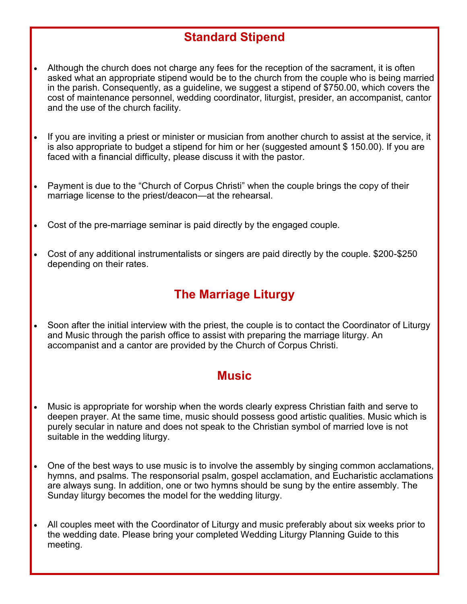## **Standard Stipend**

- Although the church does not charge any fees for the reception of the sacrament, it is often asked what an appropriate stipend would be to the church from the couple who is being married in the parish. Consequently, as a guideline, we suggest a stipend of \$750.00, which covers the cost of maintenance personnel, wedding coordinator, liturgist, presider, an accompanist, cantor and the use of the church facility.
- If you are inviting a priest or minister or musician from another church to assist at the service, it is also appropriate to budget a stipend for him or her (suggested amount \$ 150.00). If you are faced with a financial difficulty, please discuss it with the pastor.
- Payment is due to the "Church of Corpus Christi" when the couple brings the copy of their marriage license to the priest/deacon—at the rehearsal.
- Cost of the pre-marriage seminar is paid directly by the engaged couple.
- Cost of any additional instrumentalists or singers are paid directly by the couple. \$200-\$250 depending on their rates.

#### **The Marriage Liturgy**

• Soon after the initial interview with the priest, the couple is to contact the Coordinator of Liturgy and Music through the parish office to assist with preparing the marriage liturgy. An accompanist and a cantor are provided by the Church of Corpus Christi.

#### **Music**

- Music is appropriate for worship when the words clearly express Christian faith and serve to deepen prayer. At the same time, music should possess good artistic qualities. Music which is purely secular in nature and does not speak to the Christian symbol of married love is not suitable in the wedding liturgy.
- One of the best ways to use music is to involve the assembly by singing common acclamations, hymns, and psalms. The responsorial psalm, gospel acclamation, and Eucharistic acclamations are always sung. In addition, one or two hymns should be sung by the entire assembly. The Sunday liturgy becomes the model for the wedding liturgy.
- All couples meet with the Coordinator of Liturgy and music preferably about six weeks prior to the wedding date. Please bring your completed Wedding Liturgy Planning Guide to this meeting.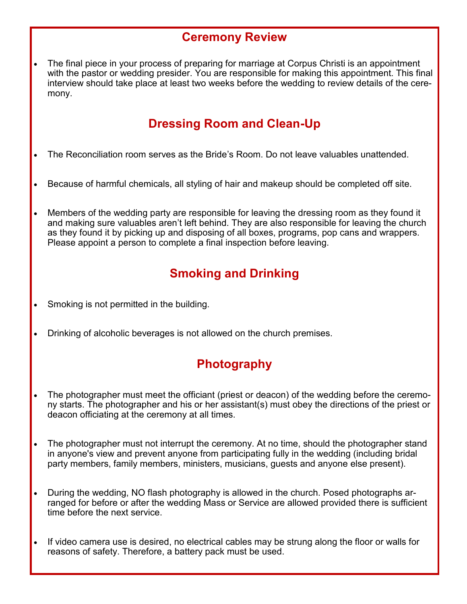#### **Ceremony Review**

The final piece in your process of preparing for marriage at Corpus Christi is an appointment with the pastor or wedding presider. You are responsible for making this appointment. This final interview should take place at least two weeks before the wedding to review details of the ceremony.

#### **Dressing Room and Clean-Up**

- The Reconciliation room serves as the Bride's Room. Do not leave valuables unattended.
- Because of harmful chemicals, all styling of hair and makeup should be completed off site.
- Members of the wedding party are responsible for leaving the dressing room as they found it and making sure valuables aren't left behind. They are also responsible for leaving the church as they found it by picking up and disposing of all boxes, programs, pop cans and wrappers. Please appoint a person to complete a final inspection before leaving.

# **Smoking and Drinking**

- Smoking is not permitted in the building.
- Drinking of alcoholic beverages is not allowed on the church premises.

# **Photography**

- The photographer must meet the officiant (priest or deacon) of the wedding before the ceremony starts. The photographer and his or her assistant(s) must obey the directions of the priest or deacon officiating at the ceremony at all times.
- The photographer must not interrupt the ceremony. At no time, should the photographer stand in anyone's view and prevent anyone from participating fully in the wedding (including bridal party members, family members, ministers, musicians, guests and anyone else present).
- During the wedding, NO flash photography is allowed in the church. Posed photographs arranged for before or after the wedding Mass or Service are allowed provided there is sufficient time before the next service.
- If video camera use is desired, no electrical cables may be strung along the floor or walls for reasons of safety. Therefore, a battery pack must be used.